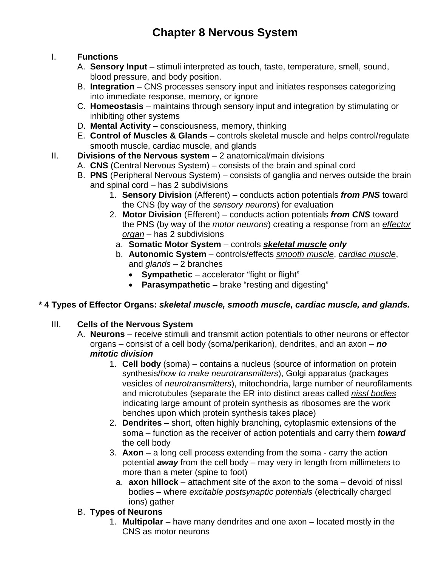# **Chapter 8 Nervous System**

#### I. **Functions**

- A. **Sensory Input** stimuli interpreted as touch, taste, temperature, smell, sound, blood pressure, and body position.
- B. **Integration**  CNS processes sensory input and initiates responses categorizing into immediate response, memory, or ignore
- C. **Homeostasis**  maintains through sensory input and integration by stimulating or inhibiting other systems
- D. **Mental Activity**  consciousness, memory, thinking
- E. **Control of Muscles & Glands**  controls skeletal muscle and helps control/regulate smooth muscle, cardiac muscle, and glands
- II. **Divisions of the Nervous system** 2 anatomical/main divisions
	- A. **CNS** (Central Nervous System) consists of the brain and spinal cord
	- B. **PNS** (Peripheral Nervous System) consists of ganglia and nerves outside the brain and spinal cord – has 2 subdivisions
		- 1. **Sensory Division** (Afferent) conducts action potentials *from PNS* toward the CNS (by way of the *sensory neurons*) for evaluation
		- 2. **Motor Division** (Efferent) conducts action potentials *from CNS* toward the PNS (by way of the *motor neurons*) creating a response from an *effector organ* – has 2 subdivisions
		- a. **Somatic Motor System** controls *skeletal muscle only*
		- b. **Autonomic System** controls/effects *smooth muscle*, *cardiac muscle*, and *glands* – 2 branches
			- **Sympathetic** accelerator "fight or flight"
			- **Parasympathetic**  brake "resting and digesting"

# **\* 4 Types of Effector Organs:** *skeletal muscle, smooth muscle, cardiac muscle, and glands.*

#### III. **Cells of the Nervous System**

- A. **Neurons** receive stimuli and transmit action potentials to other neurons or effector organs – consist of a cell body (soma/perikarion), dendrites, and an axon – *no mitotic division*
	- 1. **Cell body** (soma) contains a nucleus (source of information on protein synthesis/*how to make neurotransmitters*), Golgi apparatus (packages vesicles of *neurotransmitters*), mitochondria, large number of neurofilaments and microtubules (separate the ER into distinct areas called *nissl bodies* indicating large amount of protein synthesis as ribosomes are the work benches upon which protein synthesis takes place)
	- 2. **Dendrites** short, often highly branching, cytoplasmic extensions of the soma – function as the receiver of action potentials and carry them *toward* the cell body
	- 3. **Axon**  a long cell process extending from the soma carry the action potential *away* from the cell body – may very in length from millimeters to more than a meter (spine to foot)
		- a. **axon hillock** attachment site of the axon to the soma devoid of nissl bodies – where *excitable postsynaptic potentials* (electrically charged ions) gather

# B. **Types of Neurons**

1. **Multipolar** – have many dendrites and one axon – located mostly in the CNS as motor neurons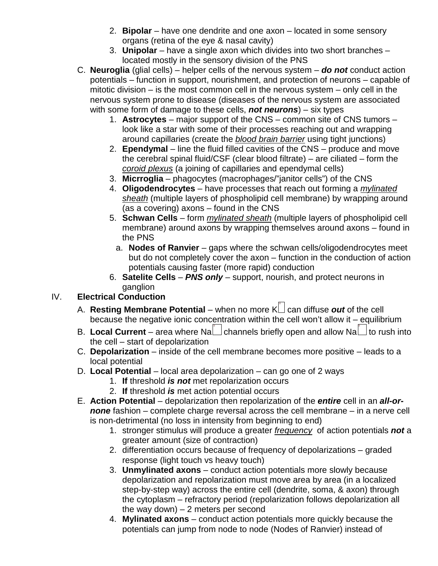- 2. **Bipolar**  have one dendrite and one axon located in some sensory organs (retina of the eye & nasal cavity)
- 3. **Unipolar**  have a single axon which divides into two short branches located mostly in the sensory division of the PNS
- C. **Neuroglia** (glial cells) helper cells of the nervous system *do not* conduct action potentials – function in support, nourishment, and protection of neurons – capable of mitotic division – is the most common cell in the nervous system – only cell in the nervous system prone to disease (diseases of the nervous system are associated with some form of damage to these cells, *not neurons*) – six types
	- 1. **Astrocytes** major support of the CNS common site of CNS tumors look like a star with some of their processes reaching out and wrapping around capillaries (create the *blood brain barrier* using tight junctions)
	- 2. **Ependymal**  line the fluid filled cavities of the CNS produce and move the cerebral spinal fluid/CSF (clear blood filtrate) – are ciliated – form the *coroid plexus* (a joining of capillaries and ependymal cells)
	- 3. **Micrroglia**  phagocytes (macrophages/"janitor cells") of the CNS
	- 4. **Oligodendrocytes** have processes that reach out forming a *mylinated sheath* (multiple layers of phospholipid cell membrane) by wrapping around (as a covering) axons – found in the CNS
	- 5. **Schwan Cells**  form *mylinated sheath* (multiple layers of phospholipid cell membrane) around axons by wrapping themselves around axons – found in the PNS
		- a. **Nodes of Ranvier** gaps where the schwan cells/oligodendrocytes meet but do not completely cover the axon – function in the conduction of action potentials causing faster (more rapid) conduction
	- 6. **Satelite Cells** *PNS only* support, nourish, and protect neurons in ganglion

# IV. **Electrical Conduction**

- A. **Resting Membrane Potential** when no more K can diffuse *out* of the cell because the negative ionic concentration within the cell won't allow it – equilibrium
- B. Local Current area where Na  $\Box$  channels briefly open and allow Na  $\Box$  to rush into the cell – start of depolarization
- C. **Depolarization**  inside of the cell membrane becomes more positive leads to a local potential
- D. **Local Potential**  local area depolarization can go one of 2 ways
	- 1. **If** threshold *is not* met repolarization occurs
	- 2. **If** threshold *is* met action potential occurs
- E. **Action Potential** depolarization then repolarization of the *entire* cell in an *all-ornone* fashion – complete charge reversal across the cell membrane – in a nerve cell is non-detrimental (no loss in intensity from beginning to end)
	- 1. stronger stimulus will produce a greater *frequency* of action potentials *not* a greater amount (size of contraction)
	- 2. differentiation occurs because of frequency of depolarizations graded response (light touch vs heavy touch)
	- 3. **Unmylinated axons** conduct action potentials more slowly because depolarization and repolarization must move area by area (in a localized step-by-step way) across the entire cell (dendrite, soma, & axon) through the cytoplasm – refractory period (repolarization follows depolarization all the way down)  $-2$  meters per second
	- 4. **Mylinated axons**  conduct action potentials more quickly because the potentials can jump from node to node (Nodes of Ranvier) instead of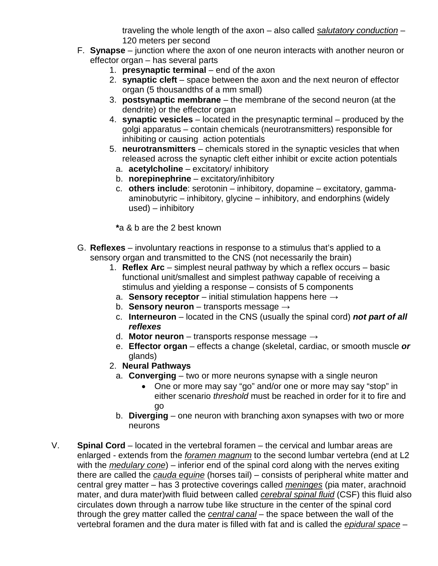traveling the whole length of the axon – also called *salutatory conduction* – 120 meters per second

- F. **Synapse** junction where the axon of one neuron interacts with another neuron or effector organ – has several parts
	- 1. **presynaptic terminal** end of the axon
	- 2. **synaptic cleft**  space between the axon and the next neuron of effector organ (5 thousandths of a mm small)
	- 3. **postsynaptic membrane**  the membrane of the second neuron (at the dendrite) or the effector organ
	- 4. **synaptic vesicles**  located in the presynaptic terminal produced by the golgi apparatus – contain chemicals (neurotransmitters) responsible for inhibiting or causing action potentials
	- 5. **neurotransmitters**  chemicals stored in the synaptic vesicles that when released across the synaptic cleft either inhibit or excite action potentials
		- a. **acetylcholine** excitatory/ inhibitory
		- b. **norepinephrine**  excitatory/inhibitory
		- c. **others include**: serotonin inhibitory, dopamine excitatory, gammaaminobutyric – inhibitory, glycine – inhibitory, and endorphins (widely used) – inhibitory

**\***a & b are the 2 best known

- G. **Reflexes** involuntary reactions in response to a stimulus that's applied to a sensory organ and transmitted to the CNS (not necessarily the brain)
	- 1. **Reflex Arc** simplest neural pathway by which a reflex occurs basic functional unit/smallest and simplest pathway capable of receiving a stimulus and yielding a response – consists of 5 components
		- a. **Sensory receptor** initial stimulation happens here  $\rightarrow$
		- b. **Sensory neuron**  transports message →
		- c. **Interneuron**  located in the CNS (usually the spinal cord) *not part of all reflexes*
		- d. **Motor neuron** transports response message →
		- e. **Effector organ**  effects a change (skeletal, cardiac, or smooth muscle *or* glands)
	- 2. **Neural Pathways**
		- a. **Converging** two or more neurons synapse with a single neuron
			- One or more may say "go" and/or one or more may say "stop" in either scenario *threshold* must be reached in order for it to fire and go
		- b. **Diverging** one neuron with branching axon synapses with two or more neurons
- V. **Spinal Cord** located in the vertebral foramen the cervical and lumbar areas are enlarged - extends from the *foramen magnum* to the second lumbar vertebra (end at L2 with the *medulary cone*) – inferior end of the spinal cord along with the nerves exiting there are called the *cauda equine* (horses tail) – consists of peripheral white matter and central grey matter – has 3 protective coverings called *meninges* (pia mater, arachnoid mater, and dura mater)with fluid between called *cerebral spinal fluid* (CSF) this fluid also circulates down through a narrow tube like structure in the center of the spinal cord through the grey matter called the *central canal* – the space between the wall of the vertebral foramen and the dura mater is filled with fat and is called the *epidural space* –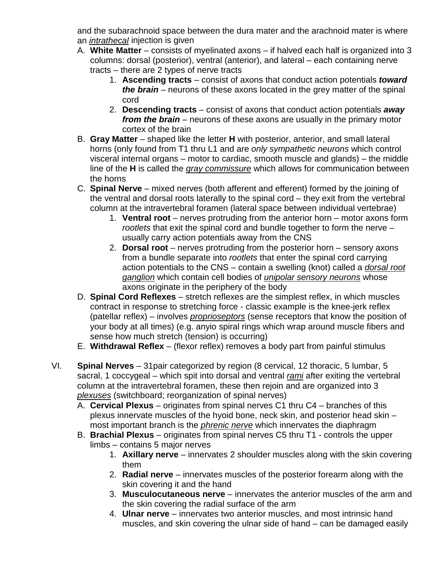and the subarachnoid space between the dura mater and the arachnoid mater is where an *intrathecal* injection is given

- A. **White Matter** consists of myelinated axons if halved each half is organized into 3 columns: dorsal (posterior), ventral (anterior), and lateral – each containing nerve tracts – there are 2 types of nerve tracts
	- 1. **Ascending tracts** consist of axons that conduct action potentials *toward the brain* – neurons of these axons located in the grey matter of the spinal cord
	- 2. **Descending tracts** consist of axons that conduct action potentials *away from the brain* – neurons of these axons are usually in the primary motor cortex of the brain
- B. **Gray Matter** shaped like the letter **H** with posterior, anterior, and small lateral horns (only found from T1 thru L1 and are *only sympathetic neurons* which control visceral internal organs – motor to cardiac, smooth muscle and glands) – the middle line of the **H** is called the *gray commissure* which allows for communication between the horns
- C. **Spinal Nerve**  mixed nerves (both afferent and efferent) formed by the joining of the ventral and dorsal roots laterally to the spinal cord – they exit from the vertebral column at the intravertebral foramen (lateral space between individual vertebrae)
	- 1. **Ventral root** nerves protruding from the anterior horn motor axons form *rootlets* that exit the spinal cord and bundle together to form the nerve – usually carry action potentials away from the CNS
	- 2. **Dorsal root**  nerves protruding from the posterior horn sensory axons from a bundle separate into *rootlets* that enter the spinal cord carrying action potentials to the CNS – contain a swelling (knot) called a *dorsal root ganglion* which contain cell bodies of *unipolar sensory neurons* whose axons originate in the periphery of the body
- D. **Spinal Cord Reflexes** stretch reflexes are the simplest reflex, in which muscles contract in response to stretching force - classic example is the knee-jerk reflex (patellar reflex) – involves *proprioseptors* (sense receptors that know the position of your body at all times) (e.g. anyio spiral rings which wrap around muscle fibers and sense how much stretch (tension) is occurring)
- E. **Withdrawal Reflex**  (flexor reflex) removes a body part from painful stimulus
- VI. **Spinal Nerves** 31pair categorized by region (8 cervical, 12 thoracic, 5 lumbar, 5 sacral, 1 coccygeal – which spit into dorsal and ventral *rami* after exiting the vertebral column at the intravertebral foramen, these then rejoin and are organized into 3 *plexuses* (switchboard; reorganization of spinal nerves)
	- A. **Cervical Plexus** originates from spinal nerves C1 thru C4 branches of this plexus innervate muscles of the hyoid bone, neck skin, and posterior head skin – most important branch is the *phrenic nerve* which innervates the diaphragm
	- B. **Brachial Plexus**  originates from spinal nerves C5 thru T1 controls the upper limbs – contains 5 major nerves
		- 1. **Axillary nerve** innervates 2 shoulder muscles along with the skin covering them
		- 2. **Radial nerve**  innervates muscles of the posterior forearm along with the skin covering it and the hand
		- 3. **Musculocutaneous nerve**  innervates the anterior muscles of the arm and the skin covering the radial surface of the arm
		- 4. **Ulnar nerve**  innervates two anterior muscles, and most intrinsic hand muscles, and skin covering the ulnar side of hand – can be damaged easily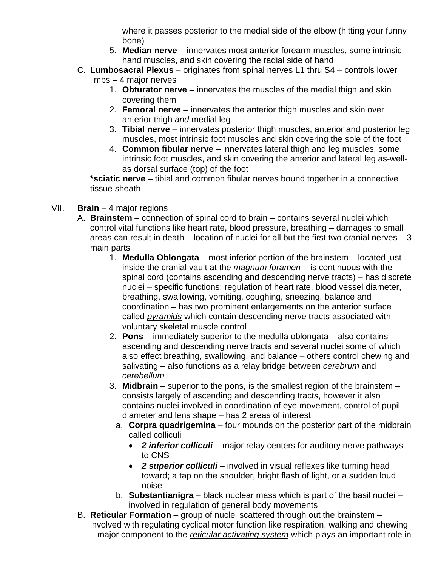where it passes posterior to the medial side of the elbow (hitting your funny bone)

- 5. **Median nerve**  innervates most anterior forearm muscles, some intrinsic hand muscles, and skin covering the radial side of hand
- C. **Lumbosacral Plexus** originates from spinal nerves L1 thru S4 controls lower
	- limbs 4 major nerves
		- 1. **Obturator nerve** innervates the muscles of the medial thigh and skin covering them
		- 2. **Femoral nerve**  innervates the anterior thigh muscles and skin over anterior thigh *and* medial leg
		- 3. **Tibial nerve**  innervates posterior thigh muscles, anterior and posterior leg muscles, most intrinsic foot muscles and skin covering the sole of the foot
		- 4. **Common fibular nerve**  innervates lateral thigh and leg muscles, some intrinsic foot muscles, and skin covering the anterior and lateral leg as-wellas dorsal surface (top) of the foot

**\*sciatic nerve** – tibial and common fibular nerves bound together in a connective tissue sheath

- VII. **Brain** 4 major regions
	- A. **Brainstem** connection of spinal cord to brain contains several nuclei which control vital functions like heart rate, blood pressure, breathing – damages to small areas can result in death  $-$  location of nuclei for all but the first two cranial nerves  $-3$ main parts
		- 1. **Medulla Oblongata** most inferior portion of the brainstem located just inside the cranial vault at the *magnum foramen* – is continuous with the spinal cord (contains ascending and descending nerve tracts) – has discrete nuclei – specific functions: regulation of heart rate, blood vessel diameter, breathing, swallowing, vomiting, coughing, sneezing, balance and coordination – has two prominent enlargements on the anterior surface called *pyramids* which contain descending nerve tracts associated with voluntary skeletal muscle control
		- 2. **Pons**  immediately superior to the medulla oblongata also contains ascending and descending nerve tracts and several nuclei some of which also effect breathing, swallowing, and balance – others control chewing and salivating – also functions as a relay bridge between *cerebrum* and *cerebellum*
		- 3. **Midbrain** superior to the pons, is the smallest region of the brainstem consists largely of ascending and descending tracts, however it also contains nuclei involved in coordination of eye movement, control of pupil diameter and lens shape – has 2 areas of interest
			- a. **Corpra quadrigemina** four mounds on the posterior part of the midbrain called colliculi
				- *2 inferior colliculi* major relay centers for auditory nerve pathways to CNS
				- **2 superior colliculi** involved in visual reflexes like turning head toward; a tap on the shoulder, bright flash of light, or a sudden loud noise
			- b. **Substantianigra** black nuclear mass which is part of the basil nuclei involved in regulation of general body movements
	- B. **Reticular Formation** group of nuclei scattered through out the brainstem involved with regulating cyclical motor function like respiration, walking and chewing – major component to the *reticular activating system* which plays an important role in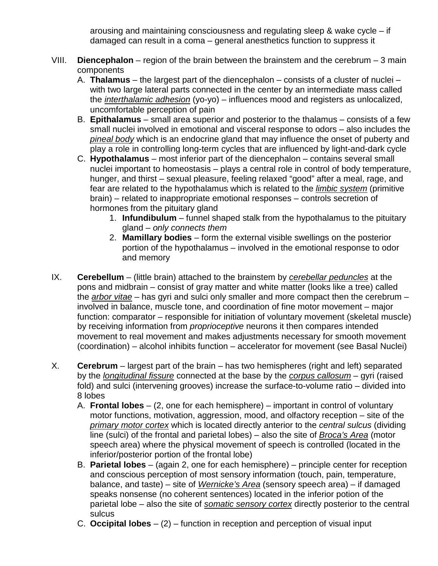arousing and maintaining consciousness and regulating sleep & wake cycle – if damaged can result in a coma – general anesthetics function to suppress it

- VIII. **Diencephalon** region of the brain between the brainstem and the cerebrum 3 main components
	- A. **Thalamus** the largest part of the diencephalon consists of a cluster of nuclei with two large lateral parts connected in the center by an intermediate mass called the *interthalamic adhesion* (yo-yo) – influences mood and registers as unlocalized, uncomfortable perception of pain
	- B. **Epithalamus**  small area superior and posterior to the thalamus consists of a few small nuclei involved in emotional and visceral response to odors – also includes the *pineal body* which is an endocrine gland that may influence the onset of puberty and play a role in controlling long-term cycles that are influenced by light-and-dark cycle
	- C. **Hypothalamus**  most inferior part of the diencephalon contains several small nuclei important to homeostasis – plays a central role in control of body temperature, hunger, and thirst – sexual pleasure, feeling relaxed "good" after a meal, rage, and fear are related to the hypothalamus which is related to the *limbic system* (primitive brain) – related to inappropriate emotional responses – controls secretion of hormones from the pituitary gland
		- 1. **Infundibulum** funnel shaped stalk from the hypothalamus to the pituitary gland – *only connects them*
		- 2. **Mamillary bodies** form the external visible swellings on the posterior portion of the hypothalamus – involved in the emotional response to odor and memory
- IX. **Cerebellum** (little brain) attached to the brainstem by *cerebellar peduncles* at the pons and midbrain – consist of gray matter and white matter (looks like a tree) called the *arbor vitae* – has gyri and sulci only smaller and more compact then the cerebrum – involved in balance, muscle tone, and coordination of fine motor movement – major function: comparator – responsible for initiation of voluntary movement (skeletal muscle) by receiving information from *proprioceptive* neurons it then compares intended movement to real movement and makes adjustments necessary for smooth movement (coordination) – alcohol inhibits function – accelerator for movement (see Basal Nuclei)
- X. **Cerebrum** largest part of the brain has two hemispheres (right and left) separated by the *longitudinal fissure* connected at the base by the *corpus callosum* – gyri (raised fold) and sulci (intervening grooves) increase the surface-to-volume ratio – divided into 8 lobes
	- A. **Frontal lobes** (2, one for each hemisphere) important in control of voluntary motor functions, motivation, aggression, mood, and olfactory reception – site of the *primary motor cortex* which is located directly anterior to the *central sulcus* (dividing line (sulci) of the frontal and parietal lobes) – also the site of *Broca's Area* (motor speech area) where the physical movement of speech is controlled (located in the inferior/posterior portion of the frontal lobe)
	- B. **Parietal lobes** (again 2, one for each hemisphere) principle center for reception and conscious perception of most sensory information (touch, pain, temperature, balance, and taste) – site of *Wernicke's Area* (sensory speech area) – if damaged speaks nonsense (no coherent sentences) located in the inferior potion of the parietal lobe – also the site of *somatic sensory cortex* directly posterior to the central sulcus
	- C. **Occipital lobes** (2) function in reception and perception of visual input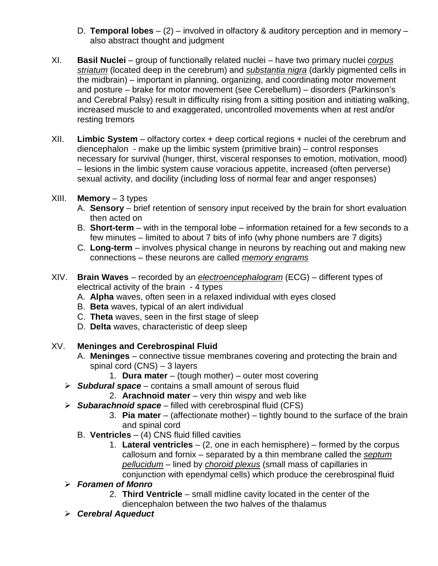- D. **Temporal lobes**  (2) involved in olfactory & auditory perception and in memory also abstract thought and judgment
- XI. **Basil Nuclei** group of functionally related nuclei have two primary nuclei *corpus striatum* (located deep in the cerebrum) and *substantia nigra* (darkly pigmented cells in the midbrain) – important in planning, organizing, and coordinating motor movement and posture – brake for motor movement (see Cerebellum) – disorders (Parkinson's and Cerebral Palsy) result in difficulty rising from a sitting position and initiating walking, increased muscle to and exaggerated, uncontrolled movements when at rest and/or resting tremors
- XII. **Limbic System** olfactory cortex + deep cortical regions + nuclei of the cerebrum and diencephalon - make up the limbic system (primitive brain) – control responses necessary for survival (hunger, thirst, visceral responses to emotion, motivation, mood) – lesions in the limbic system cause voracious appetite, increased (often perverse) sexual activity, and docility (including loss of normal fear and anger responses)
- XIII. **Memory**  3 types
	- A. **Sensory** brief retention of sensory input received by the brain for short evaluation then acted on
	- B. **Short-term** with in the temporal lobe information retained for a few seconds to a few minutes – limited to about 7 bits of info (why phone numbers are 7 digits)
	- C. **Long-term** involves physical change in neurons by reaching out and making new connections – these neurons are called *memory engrams*
- XIV. **Brain Waves** recorded by an *electroencephalogram* (ECG) different types of electrical activity of the brain - 4 types
	- A. **Alpha** waves, often seen in a relaxed individual with eyes closed
	- B. **Beta** waves, typical of an alert individual
	- C. **Theta** waves, seen in the first stage of sleep
	- D. **Delta** waves, characteristic of deep sleep

# XV. **Meninges and Cerebrospinal Fluid**

- A. **Meninges** connective tissue membranes covering and protecting the brain and spinal cord (CNS) – 3 layers
	- 1. **Dura mater** (tough mother) outer most covering
- *Subdural space* contains a small amount of serous fluid
	- 2. **Arachnoid mater**  very thin wispy and web like
- *Subarachnoid space* filled with cerebrospinal fluid (CFS)
	- 3. **Pia mater**  (affectionate mother) tightly bound to the surface of the brain and spinal cord
	- B. **Ventricles** (4) CNS fluid filled cavities
		- 1. **Lateral ventricles** (2, one in each hemisphere) formed by the corpus callosum and fornix – separated by a thin membrane called the *septum pellucidum* – lined by *choroid plexus* (small mass of capillaries in conjunction with ependymal cells) which produce the cerebrospinal fluid
- *Foramen of Monro*
	- 2. **Third Ventricle** small midline cavity located in the center of the diencephalon between the two halves of the thalamus
- *Cerebral Aqueduct*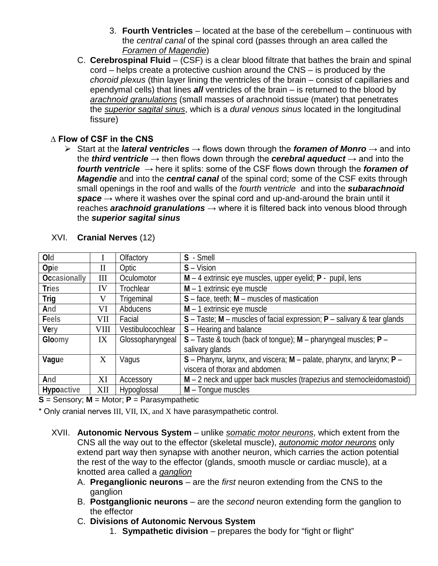- 3. **Fourth Ventricles** located at the base of the cerebellum continuous with the *central canal* of the spinal cord (passes through an area called the *Foramen of Magendie*)
- C. **Cerebrospinal Fluid** (CSF) is a clear blood filtrate that bathes the brain and spinal cord – helps create a protective cushion around the CNS – is produced by the *choroid plexus* (thin layer lining the ventricles of the brain – consist of capillaries and ependymal cells) that lines *all* ventricles of the brain – is returned to the blood by *arachnoid granulations* (small masses of arachnoid tissue (mater) that penetrates the *superior sagital sinus*, which is a *dural venous sinus* located in the longitudinal fissure)

#### **∆ Flow of CSF in the CNS**

 Start at the *lateral ventricles* → flows down through the *foramen of Monro* → and into the *third ventricle* → then flows down through the *cerebral aqueduct* → and into the *fourth ventricle* → here it splits: some of the CSF flows down through the *foramen of Magendie* and into the *central canal* of the spinal cord; some of the CSF exits through small openings in the roof and walls of the *fourth ventricle* and into the *subarachnoid*   $space \rightarrow$  where it washes over the spinal cord and up-and-around the brain until it reaches **arachnoid granulations** → where it is filtered back into venous blood through the *superior sagital sinus*

| Old                 |              | Olfactory         | S - Smell                                                                 |
|---------------------|--------------|-------------------|---------------------------------------------------------------------------|
| Opie                | $\mathbf{I}$ | Optic             | $S - Vision$                                                              |
| <b>Occasionally</b> | Ш            | Oculomotor        | $M - 4$ extrinsic eye muscles, upper eyelid; $P -$ pupil, lens            |
| <b>Tries</b>        | IV           | Trochlear         | $M - 1$ extrinsic eye muscle                                              |
| Trig                | V            | Trigeminal        | $S$ – face, teeth; $M$ – muscles of mastication                           |
| And                 | VI           | Abducens          | $M - 1$ extrinsic eye muscle                                              |
| Feels               | VII          | Facial            | $S$ – Taste; M – muscles of facial expression; P – salivary & tear glands |
| Very                | VIII         | Vestibulocochlear | S - Hearing and balance                                                   |
| Gloomy              | IX           | Glossopharyngeal  | $S$ – Taste & touch (back of tongue); M – pharyngeal muscles; P –         |
|                     |              |                   | salivary glands                                                           |
| Vague               | X            | Vagus             | $S$ – Pharynx, larynx, and viscera; M – palate, pharynx, and larynx; P –  |
|                     |              |                   | viscera of thorax and abdomen                                             |
| And                 | XI           | Accessory         | M - 2 neck and upper back muscles (trapezius and sternocleidomastoid)     |
| Hypoactive          | XII          | Hypoglossal       | M - Tonque muscles                                                        |

#### XVI. **Cranial Nerves** (12)

**S** = Sensory; **M** = Motor; **P** = Parasympathetic

\* Only cranial nerves III, VII, IX, and X have parasympathetic control.

- XVII. **Autonomic Nervous System** unlike *somatic motor neurons*, which extent from the CNS all the way out to the effector (skeletal muscle), *autonomic motor neurons* only extend part way then synapse with another neuron, which carries the action potential the rest of the way to the effector (glands, smooth muscle or cardiac muscle), at a knotted area called a *ganglion*
	- A. **Preganglionic neurons** are the *first* neuron extending from the CNS to the ganglion
	- B. **Postganglionic neurons** are the *second* neuron extending form the ganglion to the effector
	- C. **Divisions of Autonomic Nervous System**
		- 1. **Sympathetic division** prepares the body for "fight or flight"